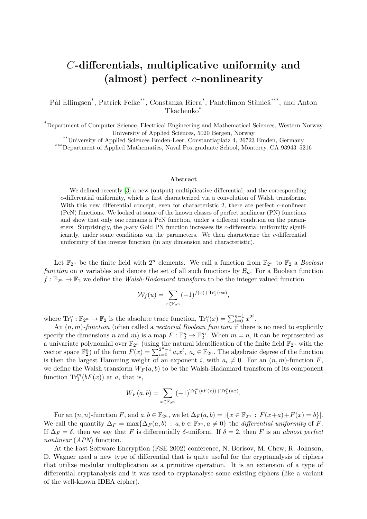## C-differentials, multiplicative uniformity and (almost) perfect  $c$ -nonlinearity

Pål Ellingsen<sup>\*</sup>, Patrick Felke<sup>\*\*</sup>, Constanza Riera<sup>\*</sup>, Pantelimon Stănică<sup>\*\*\*</sup>, and Anton Tkachenko\*

\*Department of Computer Science, Electrical Engineering and Mathematical Sciences, Western Norway University of Applied Sciences, 5020 Bergen, Norway

\*\*University of Applied Sciences Emden-Leer, Constantiaplatz 4, 26723 Emden, Germany

\*\*\*Department of Applied Mathematics, Naval Postgraduate School, Monterey, CA 93943–5216

## Abstract

We defined recently [\[3\]](#page-2-0) a new (output) multiplicative differential, and the corresponding c-differential uniformity, which is first characterized via a convolution of Walsh transforms. With this new differential concept, even for characteristic 2, there are perfect c-nonlinear (PcN) functions. We looked at some of the known classes of perfect nonlinear (PN) functions and show that only one remains a PcN function, under a different condition on the parameters. Surprisingly, the  $p$ -ary Gold PN function increases its  $c$ -differential uniformity significantly, under some conditions on the parameters. We then characterize the  $c$ -differential uniformity of the inverse function (in any dimension and characteristic).

Let  $\mathbb{F}_{2^n}$  be the finite field with  $2^n$  elements. We call a function from  $\mathbb{F}_{2^n}$  to  $\mathbb{F}_2$  a *Boolean* function on n variables and denote the set of all such functions by  $\mathcal{B}_n$ . For a Boolean function  $f: \mathbb{F}_{2^n} \to \mathbb{F}_2$  we define the *Walsh-Hadamard transform* to be the integer valued function

$$
\mathcal{W}_f(u) = \sum_{x \in \mathbb{F}_{2^n}} (-1)^{f(x) + \text{Tr}_1^n(ux)},
$$

where  $\text{Tr}_1^n : \mathbb{F}_{2^n} \to \mathbb{F}_2$  is the absolute trace function,  $\text{Tr}_1^n(x) = \sum_{i=0}^{n-1} x^{2^i}$ .

An  $(n, m)$ -function (often called a vectorial Boolean function if there is no need to explicitly specify the dimensions n and m) is a map  $F : \mathbb{F}_2^n \to \mathbb{F}_2^m$ . When  $m = n$ , it can be represented as a univariate polynomial over  $\mathbb{F}_{2^n}$  (using the natural identification of the finite field  $\mathbb{F}_{2^n}$  with the vector space  $\mathbb{F}_2^n$  of the form  $F(x) = \sum_{i=0}^{2^n-1} a_i x^i$ ,  $a_i \in \mathbb{F}_{2^n}$ . The algebraic degree of the function is then the largest Hamming weight of an exponent i, with  $a_i \neq 0$ . For an  $(n, m)$ -function F, we define the Walsh transform  $W_F(a, b)$  to be the Walsh-Hadamard transform of its component function  $\text{Tr}^m_1(bF(x))$  at a, that is,

$$
W_F(a,b) = \sum_{x \in \mathbb{F}_{2^n}} (-1)^{\text{Tr}_1^m(bF(x)) + \text{Tr}_1^n(ax)}.
$$

For an  $(n, n)$ -function F, and  $a, b \in \mathbb{F}_{2^n}$ , we let  $\Delta_F(a, b) = |\{x \in \mathbb{F}_{2^n} : F(x+a)+F(x) = b\}|$ . We call the quantity  $\Delta_F = \max\{\Delta_F(a, b): a, b \in \mathbb{F}_{2^n}, a \neq 0\}$  the *differential uniformity* of F. If  $\Delta_F = \delta$ , then we say that F is differentially  $\delta$ -uniform. If  $\delta = 2$ , then F is an almost perfect nonlinear  $(APN)$  function.

At the Fast Software Encryption (FSE 2002) conference, N. Borisov, M. Chew, R. Johnson, D. Wagner used a new type of differential that is quite useful for the cryptanalysis of ciphers that utilize modular multiplication as a primitive operation. It is an extension of a type of differential cryptanalysis and it was used to cryptanalyse some existing ciphers (like a variant of the well-known IDEA cipher).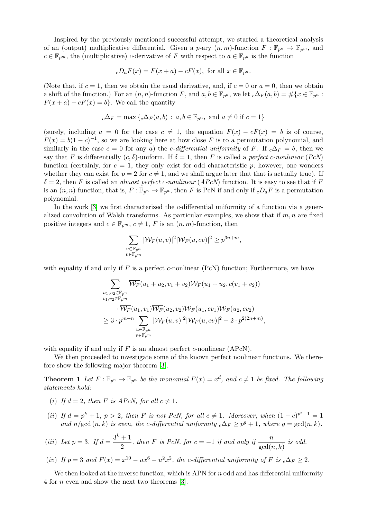Inspired by the previously mentioned successful attempt, we started a theoretical analysis of an (output) multiplicative differential. Given a p-ary  $(n, m)$ -function  $F : \mathbb{F}_{p^m} \to \mathbb{F}_{p^m}$ , and  $c \in \mathbb{F}_{p^m}$ , the (multiplicative) c-derivative of F with respect to  $a \in \mathbb{F}_{p^n}$  is the function

$$
_cD_aF(x) = F(x+a) - cF(x), \text{ for all } x \in \mathbb{F}_{p^n}.
$$

(Note that, if  $c = 1$ , then we obtain the usual derivative, and, if  $c = 0$  or  $a = 0$ , then we obtain a shift of the function.) For an  $(n, n)$ -function F, and  $a, b \in \mathbb{F}_{p^n}$ , we let  ${}_{c}\Delta_{F}(a, b) = \#\{x \in \mathbb{F}_{p^n}$ :  $F(x + a) - cF(x) = b$ . We call the quantity

$$
{}_c\Delta_F = \max\left\{{}_c\Delta_F(a,b) \, : \, a,b \in \mathbb{F}_{p^n}, \text{ and } a \neq 0 \text{ if } c = 1\right\}
$$

(surely, including  $a = 0$  for the case  $c \neq 1$ , the equation  $F(x) - cF(x) = b$  is of course,  $F(x) = b(1-c)^{-1}$ , so we are looking here at how close F is to a permutation polynomial, and similarly in the case  $c = 0$  for any a) the *c*-differential uniformity of F. If  $_c\Delta_F = \delta$ , then we say that F is differentially  $(c, \delta)$ -uniform. If  $\delta = 1$ , then F is called a perfect c-nonlinear (PcN) function (certainly, for  $c = 1$ , they only exist for odd characteristic p; however, one wonders whether they can exist for  $p = 2$  for  $c \neq 1$ , and we shall argue later that that is actually true). If  $\delta = 2$ , then F is called an *almost perfect c-nonlinear* (*APcN*) function. It is easy to see that if F is an  $(n, n)$ -function, that is,  $F : \mathbb{F}_{p^n} \to \mathbb{F}_{p^n}$ , then F is PcN if and only if  ${}_cD_aF$  is a permutation polynomial.

In the work [\[3\]](#page-2-0) we first characterized the c-differential uniformity of a function via a generalized convolution of Walsh transforms. As particular examples, we show that if  $m, n$  are fixed positive integers and  $c \in \mathbb{F}_{p^m}$ ,  $c \neq 1$ , F is an  $(n, m)$ -function, then

$$
\sum_{\substack{u \in \mathbb{F}_{p^n} \\ v \in \mathbb{F}_{p^m}}} |\mathcal{W}_F(u, v)|^2 |\mathcal{W}_F(u, cv)|^2 \ge p^{3n+m},
$$

with equality if and only if F is a perfect c-nonlinear (PcN) function; Furthermore, we have

$$
\sum_{\substack{u_1, u_2 \in \mathbb{F}_{p^n} \\ v_1, v_2 \in \mathbb{F}_{p^m}}} \overline{W_F}(u_1 + u_2, v_1 + v_2) W_F(u_1 + u_2, c(v_1 + v_2))
$$
  
\n
$$
\cdot \overline{W_F}(u_1, v_1) \overline{W_F}(u_2, v_2) W_F(u_1, cv_1) W_F(u_2, cv_2)
$$
  
\n
$$
\geq 3 \cdot p^{m+n} \sum_{\substack{u \in \mathbb{F}_{p^n} \\ v \in \mathbb{F}_{p^m}}} |W_F(u, v)|^2 |W_F(u, cv)|^2 - 2 \cdot p^{2(2n+m)},
$$

with equality if and only if  $F$  is an almost perfect c-nonlinear (APcN).

We then proceeded to investigate some of the known perfect nonlinear functions. We therefore show the following major theorem [\[3\]](#page-2-0).

**Theorem 1** Let  $F: \mathbb{F}_{p^n} \to \mathbb{F}_{p^n}$  be the monomial  $F(x) = x^d$ , and  $c \neq 1$  be fixed. The following statements hold:

- (i) If  $d = 2$ , then F is APcN, for all  $c \neq 1$ .
- (ii) If  $d = p^k + 1$ ,  $p > 2$ , then F is not PcN, for all  $c \neq 1$ . Moreover, when  $(1 c)^{p^k 1} = 1$ and  $n/\gcd(n, k)$  is even, the c-differential uniformity  ${}_{c}\Delta_{F} \geq p^{g} + 1$ , where  $g = \gcd(n, k)$ .

(iii) Let 
$$
p = 3
$$
. If  $d = \frac{3^k + 1}{2}$ , then F is PcN, for  $c = -1$  if and only if  $\frac{n}{\gcd(n,k)}$  is odd.

(iv) If 
$$
p = 3
$$
 and  $F(x) = x^{10} - ux^6 - u^2x^2$ , the c-differential uniformity of F is  $c\Delta_F \ge 2$ .

We then looked at the inverse function, which is APN for  $n$  odd and has differential uniformity 4 for n even and show the next two theorems [\[3\]](#page-2-0).